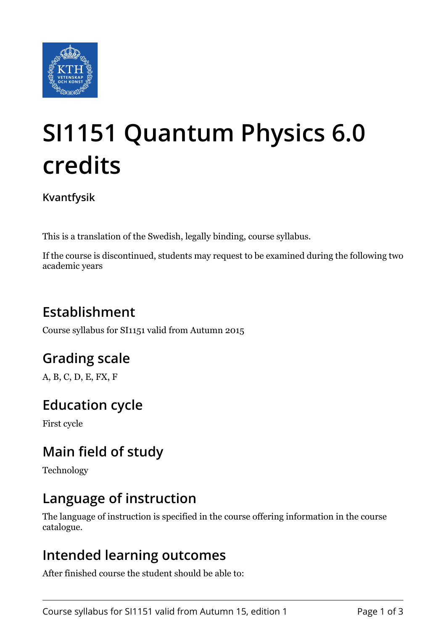

# **SI1151 Quantum Physics 6.0 credits**

**Kvantfysik**

This is a translation of the Swedish, legally binding, course syllabus.

If the course is discontinued, students may request to be examined during the following two academic years

# **Establishment**

Course syllabus for SI1151 valid from Autumn 2015

# **Grading scale**

A, B, C, D, E, FX, F

# **Education cycle**

First cycle

# **Main field of study**

Technology

# **Language of instruction**

The language of instruction is specified in the course offering information in the course catalogue.

## **Intended learning outcomes**

After finished course the student should be able to: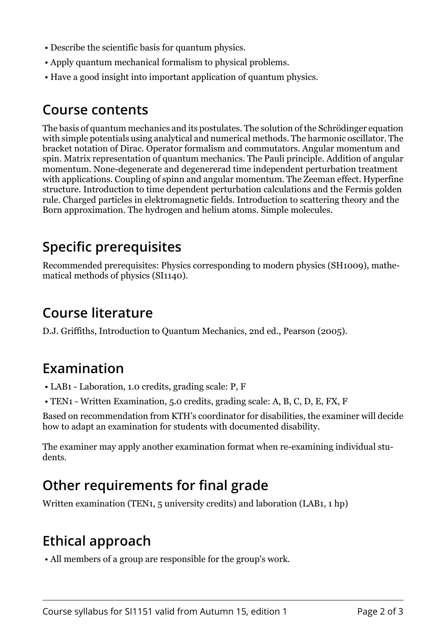- Describe the scientific basis for quantum physics.
- Apply quantum mechanical formalism to physical problems.
- Have a good insight into important application of quantum physics.

#### **Course contents**

The basis of quantum mechanics and its postulates. The solution of the Schrödinger equation with simple potentials using analytical and numerical methods. The harmonic oscillator. The bracket notation of Dirac. Operator formalism and commutators. Angular momentum and spin. Matrix representation of quantum mechanics. The Pauli principle. Addition of angular momentum. None-degenerate and degenererad time independent perturbation treatment with applications. Coupling of spinn and angular momentum. The Zeeman effect. Hyperfine structure. Introduction to time dependent perturbation calculations and the Fermis golden rule. Charged particles in elektromagnetic fields. Introduction to scattering theory and the Born approximation. The hydrogen and helium atoms. Simple molecules.

## **Specific prerequisites**

Recommended prerequisites: Physics corresponding to modern physics (SH1009), mathematical methods of physics (SI1140).

## **Course literature**

D.J. Griffiths, Introduction to Quantum Mechanics, 2nd ed., Pearson (2005).

### **Examination**

- LAB1 Laboration, 1.0 credits, grading scale: P, F
- TEN1 Written Examination, 5.0 credits, grading scale: A, B, C, D, E, FX, F

Based on recommendation from KTH's coordinator for disabilities, the examiner will decide how to adapt an examination for students with documented disability.

The examiner may apply another examination format when re-examining individual students.

## **Other requirements for final grade**

Written examination (TEN1, 5 university credits) and laboration (LAB1, 1 hp)

## **Ethical approach**

• All members of a group are responsible for the group's work.